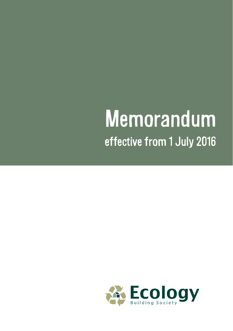# Memorandum effective from 1 July 2016

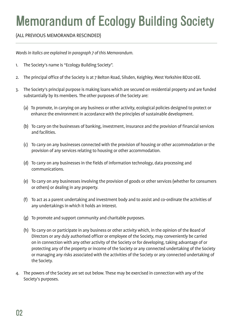# Memorandum of Ecology Building Society

(ALL PREVIOUS MEMORANDA RESCINDED)

*Words in italics are explained in paragraph 7 of this Memorandum.*

- 1. The Society's name is "Ecology Building Society".
- 2. The principal office of the Society is at 7 Belton Road, Silsden, Keighley, West Yorkshire BD20 0EE.
- 3. The Society's principal purpose is making loans which are secured on residential property and are funded substantially by its members. The other purposes of the Society are:
	- (a) To promote, in carrying on any business or other activity, ecological policies designed to protect or enhance the environment in accordance with the principles of sustainable development.
	- (b) To carry on the businesses of banking, investment, insurance and the provision of financial services and facilities.
	- (c) To carry on any businesses connected with the provision of housing or other accommodation or the provision of any services relating to housing or other accommodation.
	- (d) To carry on any businesses in the fields of information technology, data processing and communications.
	- (e) To carry on any businesses involving the provision of goods or other services (whether for consumers or others) or dealing in any property.
	- (f) To act as a parent undertaking and investment body and to assist and co-ordinate the activities of any undertakings in which it holds an interest.
	- (g) To promote and support community and charitable purposes.
	- (h) To carry on or participate in any business or other activity which, in the opinion of the Board of Directors or any duly authorised officer or employee of the Society, may conveniently be carried on in connection with any other activity of the Society or for developing, taking advantage of or protecting any of the property or income of the Society or any connected undertaking of the Society or managing any risks associated with the activities of the Society or any connected undertaking of the Society.
- 4. The powers of the Society are set out below. These may be exercised in connection with any of the Society's purposes.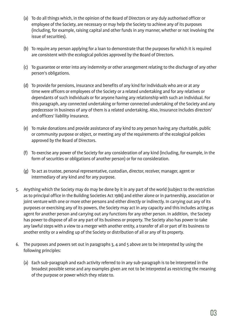- (a) To do all things which, in the opinion of the Board of Directors or any duly authorised officer or employee of the Society, are necessary or may help the Society to achieve any of its purposes (including, for example, raising capital and other funds in any manner, whether or not involving the issue of securities).
- (b) To require any person applying for a loan to demonstrate that the purposes for which it is required are consistent with the ecological policies approved by the Board of Directors.
- (c) To guarantee or enter into any indemnity or other arrangement relating to the discharge of any other person's obligations.
- (d) To provide for pensions, insurance and benefits of any kind for individuals who are or at any time were officers or employees of the Society or a related undertaking and for any relatives or dependants of such individuals or for anyone having any relationship with such an individual. For this paragraph, any connected undertaking or former connected undertaking of the Society and any predecessor in business of any of them is a related undertaking. Also, insurance includes directors' and officers' liability insurance.
- (e) To make donations and provide assistance of any kind to any person having any charitable, public or community purpose or object, or meeting any of the requirements of the ecological policies approved by the Board of Directors.
- (f) To exercise any power of the Society for any consideration of any kind (including, for example, in the form of securities or obligations of another person) or for no consideration.
- (g) To act as trustee, personal representative, custodian, director, receiver, manager, agent or intermediary of any kind and for any purpose.
- 5. Anything which the Society may do may be done by it in any part of the world (subject to the restriction as to principal office in the Building Societies Act 1986) and either alone or in partnership, association or joint venture with one or more other persons and either directly or indirectly. In carrying out any of its purposes or exercising any of its powers, the Society may act in any capacity and this includes acting as agent for another person and carrying out any functions for any other person. In addition, the Society has power to dispose of all or any part of its business or property. The Society also has power to take any lawful steps with a view to a merger with another entity, a transfer of all or part of its business to another entity or a winding up of the Society or distribution of all or any of its property.
- 6. The purposes and powers set out in paragraphs 3, 4 and 5 above are to be interpreted by using the following principles:
	- (a) Each sub-paragraph and each activity referred to in any sub-paragraph is to be interpreted in the broadest possible sense and any examples given are not to be interpreted as restricting the meaning of the purpose or power which they relate to.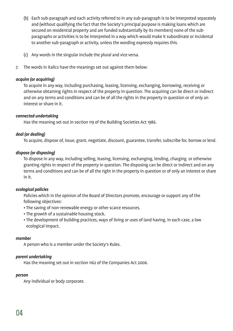- (b) Each sub-paragraph and each activity referred to in any sub-paragraph is to be interpreted separately and (without qualifying the fact that the Society's principal purpose is making loans which are secured on residential property and are funded substantially by its members) none of the subparagraphs or activities is to be interpreted in a way which would make it subordinate or incidental to another sub-paragraph or activity, unless the wording expressly requires this.
- (c) Any words in the singular include the plural and vice versa.
- 7. The words in italics have the meanings set out against them below:

### *acquire (or acquiring)*

To acquire in any way, including purchasing, leasing, licensing, exchanging, borrowing, receiving or otherwise obtaining rights in respect of the property in question. The acquiring can be direct or indirect and on any terms and conditions and can be of all the rights in the property in question or of only an interest or share in it.

#### *connected undertaking*

Has the meaning set out in section 119 of the Building Societies Act 1986.

# *deal (or dealing)*

To acquire, dispose of, issue, grant, negotiate, discount, guarantee, transfer, subscribe for, borrow or lend.

#### *dispose (or disposing)*

To dispose in any way, including selling, leasing, licensing, exchanging, lending, charging or otherwise granting rights in respect of the property in question. The disposing can be direct or indirect and on any terms and conditions and can be of all the right in the property in question or of only an interest or share in it.

# *ecological policies*

Policies which in the opinion of the Board of Directors promote, encourage or support any of the following objectives:

- The saving of non-renewable energy or other scarce resources.
- The growth of a sustainable housing stock.
- The development of building practices, ways of living or uses of land having, in each case, a low ecological impact.

#### *member*

A person who is a member under the Society's Rules.

#### *parent undertaking*

Has the meaning set out in section 1162 of the Companies Act 2006.

#### *person*

Any individual or body corporate.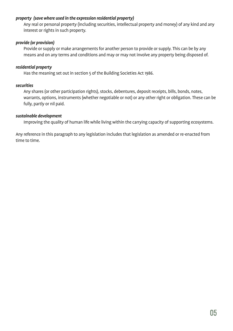# *property (save where used in the expression residential property)*

Any real or personal property (including securities, intellectual property and money) of any kind and any interest or rights in such property.

# *provide (or provision)*

Provide or supply or make arrangements for another person to provide or supply. This can be by any means and on any terms and conditions and may or may not involve any property being disposed of.

# *residential property*

Has the meaning set out in section 5 of the Building Societies Act 1986.

### *securities*

Any shares (or other participation rights), stocks, debentures, deposit receipts, bills, bonds, notes, warrants, options, instruments (whether negotiable or not) or any other right or obligation. These can be fully, partly or nil paid.

#### *sustainable development*

Improving the quality of human life while living within the carrying capacity of supporting ecosystems.

Any reference in this paragraph to any legislation includes that legislation as amended or re-enacted from time to time.